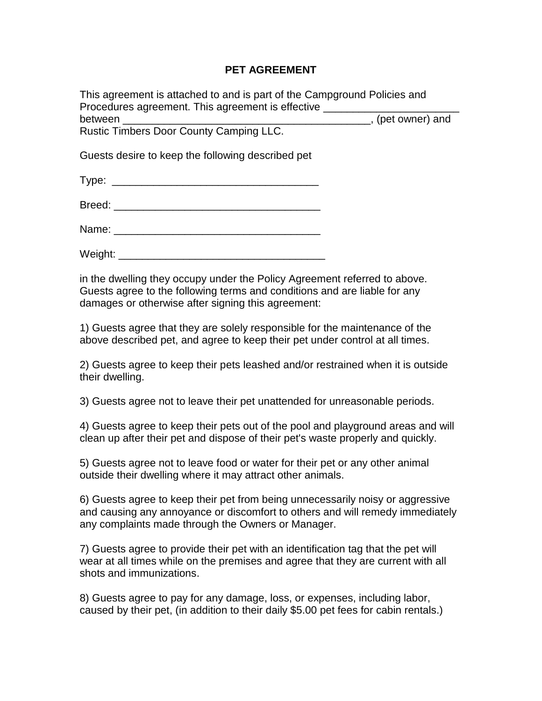## **PET AGREEMENT**

This agreement is attached to and is part of the Campground Policies and Procedures agreement. This agreement is effective between \_\_\_\_\_\_\_\_\_\_\_\_\_\_\_\_\_\_\_\_\_\_\_\_\_\_\_\_\_\_\_\_\_\_\_\_\_\_\_\_\_\_, (pet owner) and Rustic Timbers Door County Camping LLC.

Guests desire to keep the following described pet

| ÷<br>Tvner<br>1 Y P C . |  |
|-------------------------|--|
|                         |  |

Breed:  $\Box$ 

Name:

Weight: **Weight:**  $\blacksquare$ 

in the dwelling they occupy under the Policy Agreement referred to above. Guests agree to the following terms and conditions and are liable for any damages or otherwise after signing this agreement:

1) Guests agree that they are solely responsible for the maintenance of the above described pet, and agree to keep their pet under control at all times.

2) Guests agree to keep their pets leashed and/or restrained when it is outside their dwelling.

3) Guests agree not to leave their pet unattended for unreasonable periods.

4) Guests agree to keep their pets out of the pool and playground areas and will clean up after their pet and dispose of their pet's waste properly and quickly.

5) Guests agree not to leave food or water for their pet or any other animal outside their dwelling where it may attract other animals.

6) Guests agree to keep their pet from being unnecessarily noisy or aggressive and causing any annoyance or discomfort to others and will remedy immediately any complaints made through the Owners or Manager.

7) Guests agree to provide their pet with an identification tag that the pet will wear at all times while on the premises and agree that they are current with all shots and immunizations.

8) Guests agree to pay for any damage, loss, or expenses, including labor, caused by their pet, (in addition to their daily \$5.00 pet fees for cabin rentals.)